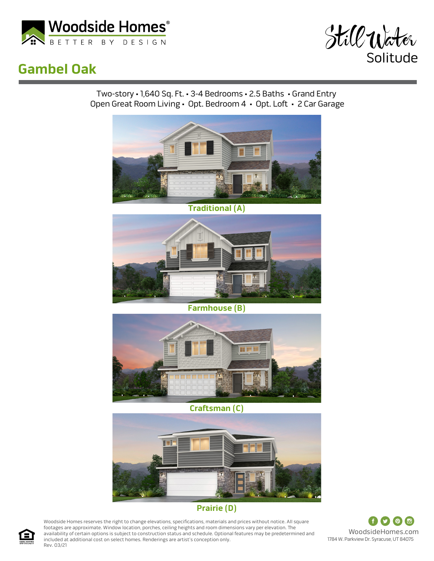

## **Gambel Oak**



Two-story • 1,640 Sq. Ft. • 3-4 Bedrooms • 2.5 Baths • Grand Entry Open Great Room Living • Opt. Bedroom 4 • Opt. Loft • 2 Car Garage



**Traditional (A)**



**Farmhouse (B)**



**Craftsman (C)**



## **Prairie (D)**

Woodside Homes reserves the right to change elevations, specifications, materials and prices without notice. All square footages are approximate. Window location, porches, ceiling heights and room dimensions vary per elevation. The availability of certain options is subject to construction status and schedule. Optional features may be predetermined and included at additional cost on select homes. Renderings are artist's conception only. Rev. 03/21